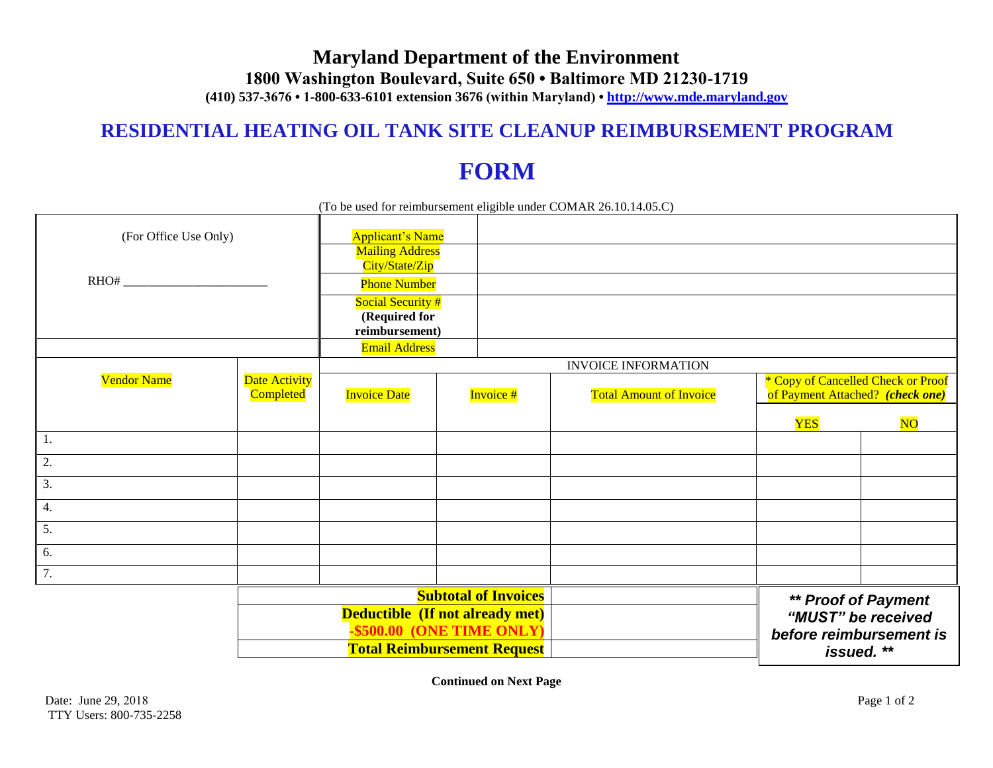# **Maryland Department of the Environment 1800 Washington Boulevard, Suite 650 • Baltimore MD 21230-1719 (410) 537-3676 • 1-800-633-6101 extension 3676 (within Maryland) • http://www.mde.maryland.gov**

# **RESIDENTIAL HEATING OIL TANK SITE CLEANUP REIMBURSEMENT PROGRAM**

# **FORM**

| (To be used for reimbursement eligible under COMAR 26.10.14.05.C) |                                                                |                                                      |                            |                                |                                                                             |                        |  |
|-------------------------------------------------------------------|----------------------------------------------------------------|------------------------------------------------------|----------------------------|--------------------------------|-----------------------------------------------------------------------------|------------------------|--|
| (For Office Use Only)                                             |                                                                | <b>Applicant's Name</b><br><b>Mailing Address</b>    |                            |                                |                                                                             |                        |  |
| RHO#                                                              |                                                                | City/State/Zip<br><b>Phone Number</b>                |                            |                                |                                                                             |                        |  |
|                                                                   |                                                                | Social Security #<br>(Required for<br>reimbursement) |                            |                                |                                                                             |                        |  |
|                                                                   |                                                                | <b>Email Address</b>                                 |                            |                                |                                                                             |                        |  |
|                                                                   |                                                                |                                                      | <b>INVOICE INFORMATION</b> |                                |                                                                             |                        |  |
| <b>Vendor Name</b>                                                | Date Activity<br>Completed                                     | <b>Invoice Date</b><br>Invoice #                     |                            | <b>Total Amount of Invoice</b> | * Copy of Cancelled Check or Proof<br>of Payment Attached? (check one)      |                        |  |
|                                                                   |                                                                |                                                      |                            |                                | <b>YES</b>                                                                  | $\overline{\text{NO}}$ |  |
| 1.                                                                |                                                                |                                                      |                            |                                |                                                                             |                        |  |
| 2.                                                                |                                                                |                                                      |                            |                                |                                                                             |                        |  |
| 3.                                                                |                                                                |                                                      |                            |                                |                                                                             |                        |  |
| 4.                                                                |                                                                |                                                      |                            |                                |                                                                             |                        |  |
| 5.                                                                |                                                                |                                                      |                            |                                |                                                                             |                        |  |
| 6.                                                                |                                                                |                                                      |                            |                                |                                                                             |                        |  |
| $\overline{7}$ .                                                  |                                                                |                                                      |                            |                                |                                                                             |                        |  |
|                                                                   | <b>Subtotal of Invoices</b><br>Deductible (If not already met) |                                                      |                            |                                | <b>** Proof of Payment</b><br>"MUST" be received<br>before reimbursement is |                        |  |
|                                                                   | \$500.00 (ONE TIME ONLY)                                       |                                                      |                            |                                |                                                                             |                        |  |
|                                                                   | <b>Total Reimbursement Request</b>                             |                                                      |                            |                                |                                                                             | issued. **             |  |

**Continued on Next Page**